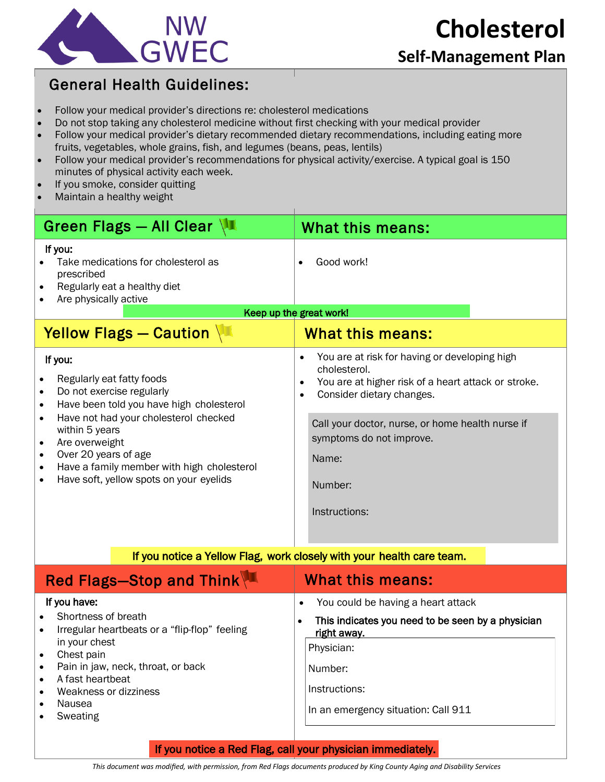

# **Cholesterol**

#### **Self-Management Plan**

#### General Health Guidelines: Ì

- Follow your medical provider's directions re: cholesterol medications
- Do not stop taking any cholesterol medicine without first checking with your medical provider
- Follow your medical provider's dietary recommended dietary recommendations, including eating more fruits, vegetables, whole grains, fish, and legumes (beans, peas, lentils)
- Follow your medical provider's recommendations for physical activity/exercise. A typical goal is 150 minutes of physical activity each week.
- If you smoke, consider quitting
- Maintain a healthy weight

| Green Flags - All Clear                                                                                                                                                                                                                                                                                                                                                                                | What this means:                                                                                                                                                                                                                                                                                 |  |
|--------------------------------------------------------------------------------------------------------------------------------------------------------------------------------------------------------------------------------------------------------------------------------------------------------------------------------------------------------------------------------------------------------|--------------------------------------------------------------------------------------------------------------------------------------------------------------------------------------------------------------------------------------------------------------------------------------------------|--|
| If you:<br>Take medications for cholesterol as<br>prescribed<br>Regularly eat a healthy diet<br>Are physically active                                                                                                                                                                                                                                                                                  | Good work!                                                                                                                                                                                                                                                                                       |  |
| Keep up the great work!                                                                                                                                                                                                                                                                                                                                                                                |                                                                                                                                                                                                                                                                                                  |  |
| Yellow Flags - Caution                                                                                                                                                                                                                                                                                                                                                                                 | What this means:                                                                                                                                                                                                                                                                                 |  |
| If you:<br>Regularly eat fatty foods<br>$\bullet$<br>Do not exercise regularly<br>$\bullet$<br>Have been told you have high cholesterol<br>$\bullet$<br>Have not had your cholesterol checked<br>$\bullet$<br>within 5 years<br>Are overweight<br>$\bullet$<br>Over 20 years of age<br>$\bullet$<br>Have a family member with high cholesterol<br>$\bullet$<br>Have soft, yellow spots on your eyelids | You are at risk for having or developing high<br>$\bullet$<br>cholesterol.<br>You are at higher risk of a heart attack or stroke.<br>Consider dietary changes.<br>$\bullet$<br>Call your doctor, nurse, or home health nurse if<br>symptoms do not improve.<br>Name:<br>Number:<br>Instructions: |  |

#### If you notice a Yellow Flag, work closely with your health care team.

| Red Flags-Stop and Think                                                                                                                                                                                                                                                                                                             | What this means:                                                                                                                                                                                     |
|--------------------------------------------------------------------------------------------------------------------------------------------------------------------------------------------------------------------------------------------------------------------------------------------------------------------------------------|------------------------------------------------------------------------------------------------------------------------------------------------------------------------------------------------------|
| If you have:<br>Shortness of breath<br>$\bullet$<br>Irregular heartbeats or a "flip-flop" feeling<br>$\bullet$<br>in your chest<br>Chest pain<br>$\bullet$<br>Pain in jaw, neck, throat, or back<br>$\bullet$<br>A fast heartbeat<br>$\bullet$<br>Weakness or dizziness<br>$\bullet$<br>Nausea<br>$\bullet$<br>Sweating<br>$\bullet$ | You could be having a heart attack<br>$\bullet$<br>This indicates you need to be seen by a physician<br>right away.<br>Physician:<br>Number:<br>Instructions:<br>In an emergency situation: Call 911 |

#### If you notice a Red Flag, call your physician immediately.